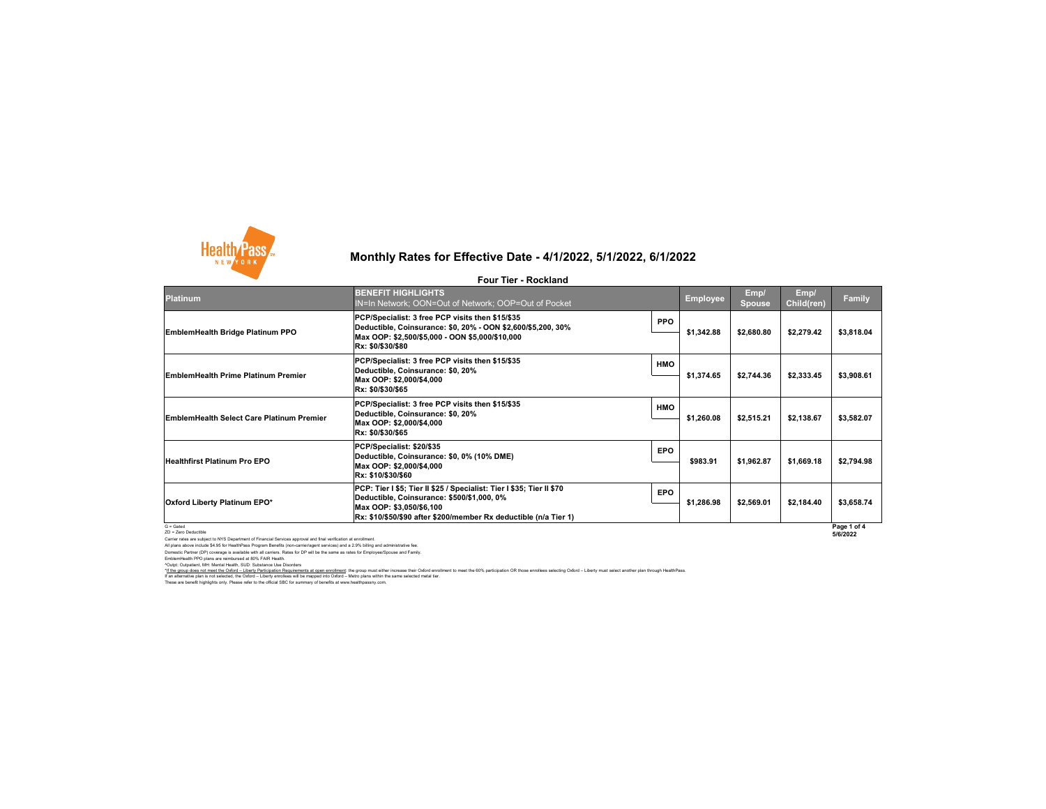Carrier rates are subject to NYS Department of Financial Services approval and final verification at enrollment. All plans above include \$4.95 for HealthPass Program Benefits (non-carrier/agent services) and a 2.9% billing and administrative fee. Domestic Partner (DP) coverage is available with all carriers. Rates for DP will be the same as rates for Employee/Spouse and Family.

EmblemHealth PPO plans are reimbursed at 80% FAIR Health. ^Outpt: Outpatient, MH: Mental Health, SUD: Substance Use Disorders

| <b>Platinum</b>                                  | <b>BENEFIT HIGHLIGHTS</b><br>IN=In Network; OON=Out of Network; OOP=Out of Pocket                                                                                                                                    |            | <b>Employee</b> | Emp/<br><b>Spouse</b> | Emp/<br><b>Child(ren)</b> | <b>Family</b>           |
|--------------------------------------------------|----------------------------------------------------------------------------------------------------------------------------------------------------------------------------------------------------------------------|------------|-----------------|-----------------------|---------------------------|-------------------------|
| <b>EmblemHealth Bridge Platinum PPO</b>          | PCP/Specialist: 3 free PCP visits then \$15/\$35<br> Deductible, Coinsurance: \$0, 20% - OON \$2,600/\$5,200, 30%<br> Max OOP: \$2,500/\$5,000 - OON \$5,000/\$10,000<br><b>Rx: \$0/\$30/\$80</b>                    | <b>PPO</b> | \$1,342.88      | \$2,680.80            | \$2,279.42                | \$3,818.04              |
| <b>EmblemHealth Prime Platinum Premier</b>       | PCP/Specialist: 3 free PCP visits then \$15/\$35<br>Deductible, Coinsurance: \$0, 20%<br>Max OOP: \$2,000/\$4,000<br>Rx: \$0/\$30/\$65                                                                               | <b>HMO</b> | \$1,374.65      | \$2,744.36            | \$2,333.45                | \$3,908.61              |
| <b>EmblemHealth Select Care Platinum Premier</b> | PCP/Specialist: 3 free PCP visits then \$15/\$35<br>Deductible, Coinsurance: \$0, 20%<br>Max OOP: \$2,000/\$4,000<br>Rx: \$0/\$30/\$65                                                                               | <b>HMO</b> | \$1,260.08      | \$2,515.21            | \$2,138.67                | \$3,582.07              |
| <b>Healthfirst Platinum Pro EPO</b>              | PCP/Specialist: \$20/\$35<br>Deductible, Coinsurance: \$0, 0% (10% DME)<br>Max OOP: \$2,000/\$4,000<br><b>Rx: \$10/\$30/\$60</b>                                                                                     | <b>EPO</b> | \$983.91        | \$1,962.87            | \$1,669.18                | \$2,794.98              |
| <b>Oxford Liberty Platinum EPO*</b>              | PCP: Tier I \$5; Tier II \$25 / Specialist: Tier I \$35; Tier II \$70<br>Deductible, Coinsurance: \$500/\$1,000, 0%<br>Max OOP: \$3,050/\$6,100<br> Rx: \$10/\$50/\$90 after \$200/member Rx deductible (n/a Tier 1) | <b>EPO</b> | \$1,286.98      | \$2,569.01            | \$2,184.40                | \$3,658.74              |
| $G =$ Gated<br>ZD = Zero Deductible              |                                                                                                                                                                                                                      |            |                 |                       |                           | Page 1 of 4<br>5/6/2022 |

These are benefit highlights only. Please refer to the official SBC for summary of benefits at www.healthpassny.com. \*If the group does not meet the Oxford - Liberty Participation Requirements at open enrollment: the group must either increase their Oxford enrollment to meet the 60% participation OR those enrollees selecting Oxford - Lib If an alternative plan is not selected, the Oxford – Liberty enrollees will be mapped into Oxford – Metro plans within the same selected metal tier.



# **Monthly Rates for Effective Date - 4/1/2022, 5/1/2022, 6/1/2022**

#### **Four Tier - Rockland**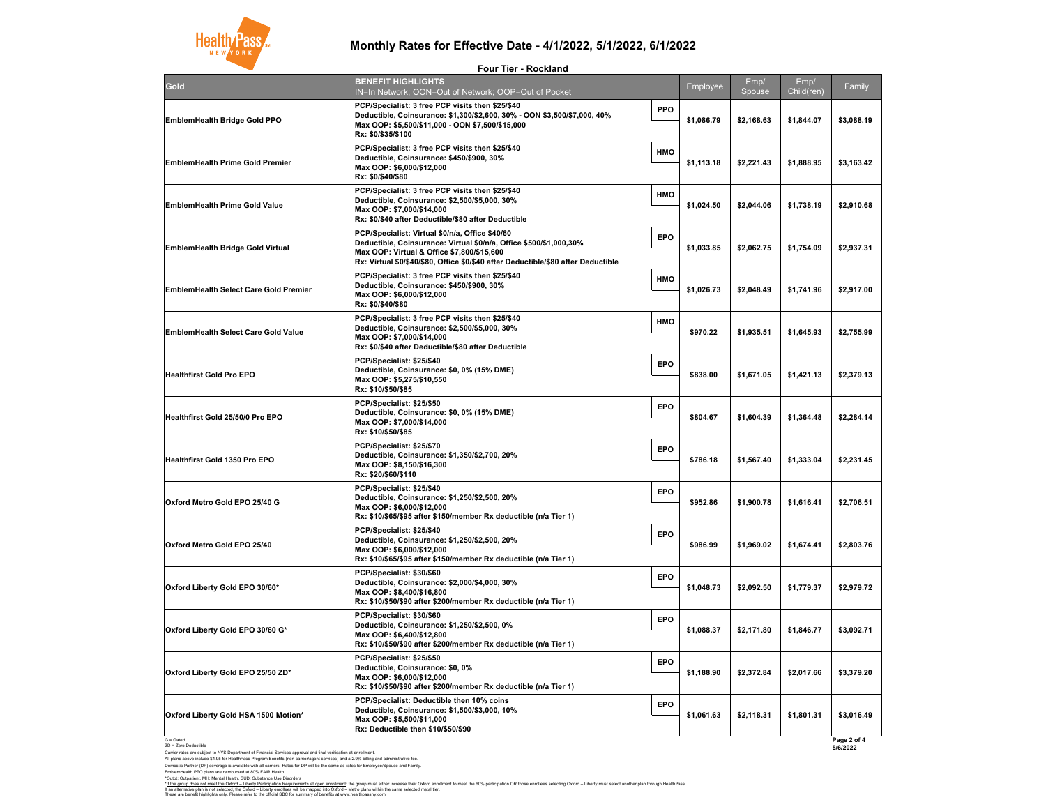G = Gated ZD = Zero Deductible

Carrier rates are subject to NYS Department of Financial Services approval and final verification at enrollment.

All plans above include \$4.95 for HealthPass Program Benefits (non-carrier/agent services) and a 2.9% billing and administrative fee. Domestic Partner (DP) coverage is available with all carriers. Rates for DP will be the same as rates for Employee/Spouse and Family. EmblemHealth PPO plans are reimbursed at 80% FAIR Health.

^Outpt: Outpatient, MH: Mental Health, SUD: Substance Use Disorders

| Gold                                         | <b>BENEFIT HIGHLIGHTS</b><br><b>IN=In Network; OON=O</b>                                                                                     |
|----------------------------------------------|----------------------------------------------------------------------------------------------------------------------------------------------|
| <b>EmblemHealth Bridge Gold PPO</b>          | <b>PCP/Specialist: 3 free PC</b><br><b>Deductible, Coinsurance</b><br>Max OOP: \$5,500/\$11,000<br>Rx: \$0/\$35/\$100                        |
| <b>EmblemHealth Prime Gold Premier</b>       | <b>PCP/Specialist: 3 free PC</b><br><b>Deductible, Coinsurance</b><br>Max OOP: \$6,000/\$12,000<br>Rx: \$0/\$40/\$80                         |
| <b>EmblemHealth Prime Gold Value</b>         | <b>PCP/Specialist: 3 free PC</b><br><b>Deductible, Coinsurance</b><br>Max OOP: \$7,000/\$14,000<br>Rx: \$0/\$40 after Deductib               |
| <b>EmblemHealth Bridge Gold Virtual</b>      | <b>PCP/Specialist: Virtual \$1</b><br><b>Deductible, Coinsurance</b><br><b>Max OOP: Virtual &amp; Offic</b><br>Rx: Virtual \$0/\$40/\$80, Of |
| <b>EmblemHealth Select Care Gold Premier</b> | <b>PCP/Specialist: 3 free PC</b><br><b>Deductible, Coinsurance</b><br>Max OOP: \$6,000/\$12,000<br>Rx: \$0/\$40/\$80                         |
| <b>EmblemHealth Select Care Gold Value</b>   | <b>PCP/Specialist: 3 free PC</b><br><b>Deductible, Coinsurance</b><br>Max OOP: \$7,000/\$14,000<br>Rx: \$0/\$40 after Deductib               |
| <b>Healthfirst Gold Pro EPO</b>              | PCP/Specialist: \$25/\$40<br><b>Deductible, Coinsurance</b><br>Max OOP: \$5,275/\$10,550<br>Rx: \$10/\$50/\$85                               |
| <b>Healthfirst Gold 25/50/0 Pro EPO</b>      | PCP/Specialist: \$25/\$50<br><b>Deductible, Coinsurance</b><br>Max OOP: \$7,000/\$14,000<br>Rx: \$10/\$50/\$85                               |
| <b>Healthfirst Gold 1350 Pro EPO</b>         | PCP/Specialist: \$25/\$70<br><b>Deductible, Coinsurance</b><br>Max OOP: \$8,150/\$16,300<br>Rx: \$20/\$60/\$110                              |
| Oxford Metro Gold EPO 25/40 G                | PCP/Specialist: \$25/\$40<br><b>Deductible, Coinsurance</b><br>Max OOP: \$6,000/\$12,000<br>Rx: \$10/\$65/\$95 after \$15                    |
| <b>Oxford Metro Gold EPO 25/40</b>           | PCP/Specialist: \$25/\$40<br><b>Deductible, Coinsurance</b><br>Max OOP: \$6,000/\$12,000<br>Rx: \$10/\$65/\$95 after \$15                    |
| Oxford Liberty Gold EPO 30/60*               | PCP/Specialist: \$30/\$60<br><b>Deductible, Coinsurance</b><br>Max OOP: \$8,400/\$16,800<br>Rx: \$10/\$50/\$90 after \$20                    |
| Oxford Liberty Gold EPO 30/60 G*             | PCP/Specialist: \$30/\$60<br><b>Deductible, Coinsurance</b><br>Max OOP: \$6,400/\$12,800<br>Rx: \$10/\$50/\$90 after \$20                    |
| Oxford Liberty Gold EPO 25/50 ZD*            | PCP/Specialist: \$25/\$50<br><b>Deductible, Coinsurance</b><br>Max OOP: \$6,000/\$12,000<br>Rx: \$10/\$50/\$90 after \$20                    |
| Oxford Liberty Gold HSA 1500 Motion*         | <b>PCP/Specialist: Deductib</b><br><b>Deductible, Coinsurance</b><br>Max OOP: \$5,500/\$11,000<br>Rx: Deductible then \$10/                  |
|                                              |                                                                                                                                              |

| <b>Four Tier - Rockland</b>                                                                                                                                                                                                                              |            |                 |                |                    |             |
|----------------------------------------------------------------------------------------------------------------------------------------------------------------------------------------------------------------------------------------------------------|------------|-----------------|----------------|--------------------|-------------|
| <b>BENEFIT HIGHLIGHTS</b><br>IN=In Network; OON=Out of Network; OOP=Out of Pocket                                                                                                                                                                        |            | <b>Employee</b> | Emp/<br>Spouse | Emp/<br>Child(ren) | Family      |
| PCP/Specialist: 3 free PCP visits then \$25/\$40<br>Deductible, Coinsurance: \$1,300/\$2,600, 30% - OON \$3,500/\$7,000, 40%<br>Max OOP: \$5,500/\$11,000 - OON \$7,500/\$15,000<br>Rx: \$0/\$35/\$100                                                   | <b>PPO</b> | \$1,086.79      | \$2,168.63     | \$1,844.07         | \$3,088.19  |
| PCP/Specialist: 3 free PCP visits then \$25/\$40<br>Deductible, Coinsurance: \$450/\$900, 30%<br>Max OOP: \$6,000/\$12,000<br>Rx: \$0/\$40/\$80                                                                                                          | <b>HMO</b> | \$1,113.18      | \$2,221.43     | \$1,888.95         | \$3,163.42  |
| PCP/Specialist: 3 free PCP visits then \$25/\$40<br>Deductible, Coinsurance: \$2,500/\$5,000, 30%<br>Max OOP: \$7,000/\$14,000<br>Rx: \$0/\$40 after Deductible/\$80 after Deductible                                                                    | <b>HMO</b> | \$1,024.50      | \$2,044.06     | \$1,738.19         | \$2,910.68  |
| PCP/Specialist: Virtual \$0/n/a, Office \$40/60<br>Deductible, Coinsurance: Virtual \$0/n/a, Office \$500/\$1,000,30%<br>Max OOP: Virtual & Office \$7,800/\$15,600<br>Rx: Virtual \$0/\$40/\$80, Office \$0/\$40 after Deductible/\$80 after Deductible | <b>EPO</b> | \$1,033.85      | \$2,062.75     | \$1,754.09         | \$2,937.31  |
| PCP/Specialist: 3 free PCP visits then \$25/\$40<br>Deductible, Coinsurance: \$450/\$900, 30%<br>Max OOP: \$6,000/\$12,000<br>Rx: \$0/\$40/\$80                                                                                                          | <b>HMO</b> | \$1,026.73      | \$2,048.49     | \$1,741.96         | \$2,917.00  |
| PCP/Specialist: 3 free PCP visits then \$25/\$40<br>Deductible, Coinsurance: \$2,500/\$5,000, 30%<br>Max OOP: \$7,000/\$14,000<br>Rx: \$0/\$40 after Deductible/\$80 after Deductible                                                                    | <b>HMO</b> | \$970.22        | \$1,935.51     | \$1,645.93         | \$2,755.99  |
| PCP/Specialist: \$25/\$40<br>Deductible, Coinsurance: \$0, 0% (15% DME)<br>Max OOP: \$5,275/\$10,550<br>Rx: \$10/\$50/\$85                                                                                                                               | <b>EPO</b> | \$838.00        | \$1,671.05     | \$1,421.13         | \$2,379.13  |
| PCP/Specialist: \$25/\$50<br>Deductible, Coinsurance: \$0, 0% (15% DME)<br>Max OOP: \$7,000/\$14,000<br>Rx: \$10/\$50/\$85                                                                                                                               | <b>EPO</b> | \$804.67        | \$1,604.39     | \$1,364.48         | \$2,284.14  |
| PCP/Specialist: \$25/\$70<br>Deductible, Coinsurance: \$1,350/\$2,700, 20%<br>Max OOP: \$8,150/\$16,300<br>Rx: \$20/\$60/\$110                                                                                                                           | <b>EPO</b> | \$786.18        | \$1,567.40     | \$1,333.04         | \$2,231.45  |
| PCP/Specialist: \$25/\$40<br>Deductible, Coinsurance: \$1,250/\$2,500, 20%<br>Max OOP: \$6,000/\$12,000                                                                                                                                                  | <b>EPO</b> | \$952.86        | \$1,900.78     | \$1,616.41         | \$2,706.51  |
| PCP/Specialist: \$25/\$40<br>Deductible, Coinsurance: \$1,250/\$2,500, 20%<br>Max OOP: \$6,000/\$12,000                                                                                                                                                  | <b>EPO</b> | \$986.99        | \$1,969.02     | \$1,674.41         | \$2,803.76  |
| PCP/Specialist: \$30/\$60<br>Deductible, Coinsurance: \$2,000/\$4,000, 30%<br>Max OOP: \$8,400/\$16,800                                                                                                                                                  | <b>EPO</b> | \$1,048.73      | \$2,092.50     | \$1,779.37         | \$2,979.72  |
| PCP/Specialist: \$30/\$60<br>Deductible, Coinsurance: \$1,250/\$2,500, 0%<br>Max OOP: \$6,400/\$12,800<br>Rx: \$10/\$50/\$90 after \$200/member Rx deductible (n/a Tier 1)                                                                               | <b>EPO</b> | \$1,088.37      | \$2,171.80     | \$1,846.77         | \$3,092.71  |
| PCP/Specialist: \$25/\$50<br>Deductible, Coinsurance: \$0, 0%<br>Max OOP: \$6,000/\$12,000                                                                                                                                                               | <b>EPO</b> | \$1,188.90      | \$2,372.84     | \$2,017.66         | \$3,379.20  |
| PCP/Specialist: Deductible then 10% coins<br>Deductible, Coinsurance: \$1,500/\$3,000, 10%<br>Max OOP: \$5,500/\$11,000<br><b>Rx: Deductible then \$10/\$50/\$90</b>                                                                                     | <b>EPO</b> | \$1,061.63      | \$2,118.31     | \$1,801.31         | \$3,016.49  |
|                                                                                                                                                                                                                                                          |            |                 |                |                    | Page 2 of 4 |

These are benefit highlights only. Please refer to the official SBC for summary of benefits at www.healthpassny.com. If an alternative plan is not selected, the Oxford – Liberty enrollees will be mapped into Oxford – Metro plans within the same selected metal tier. **Page 2 of 4 5/6/2022**



### **Monthly Rates for Effective Date - 4/1/2022, 5/1/2022, 6/1/2022**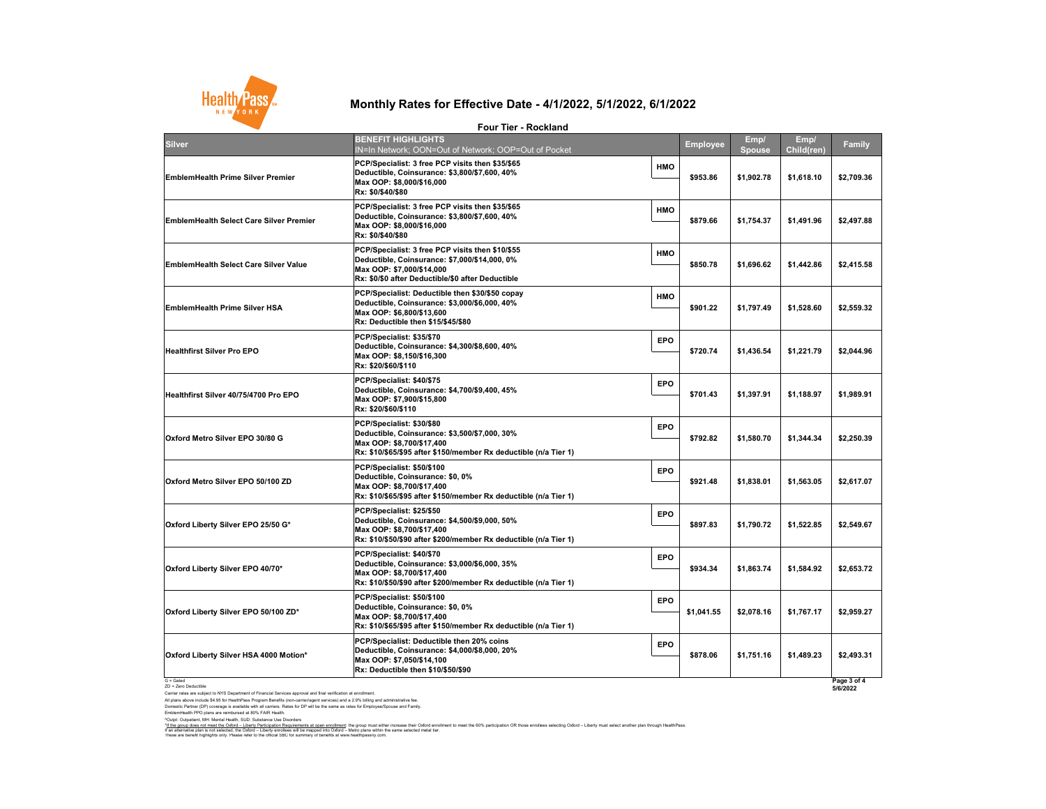Carrier rates are subject to NYS Department of Financial Services approval and final verification at enrollment.

All plans above include \$4.95 for HealthPass Program Benefits (non-carrier/agent services) and a 2.9% billing and administrative fee. Domestic Partner (DP) coverage is available with all carriers. Rates for DP will be the same as rates for Employee/Spouse and Family.

EmblemHealth PPO plans are reimbursed at 80% FAIR Health.

^Outpt: Outpatient, MH: Mental Health, SUD: Substance Use Disorders

|                                                | <b>Four Tier - Rockland</b>                                                                                                                                                         |                          |                       |                    |                         |
|------------------------------------------------|-------------------------------------------------------------------------------------------------------------------------------------------------------------------------------------|--------------------------|-----------------------|--------------------|-------------------------|
| <b>Silver</b>                                  | <b>BENEFIT HIGHLIGHTS</b><br>IN=In Network; OON=Out of Network; OOP=Out of Pocket                                                                                                   | <b>Employee</b>          | Emp/<br><b>Spouse</b> | Emp/<br>Child(ren) | <b>Family</b>           |
| <b>EmblemHealth Prime Silver Premier</b>       | PCP/Specialist: 3 free PCP visits then \$35/\$65<br>Deductible, Coinsurance: \$3,800/\$7,600, 40%<br>Max OOP: \$8,000/\$16,000<br>Rx: \$0/\$40/\$80                                 | <b>HMO</b><br>\$953.86   | \$1,902.78            | \$1,618.10         | \$2,709.36              |
| <b>EmblemHealth Select Care Silver Premier</b> | PCP/Specialist: 3 free PCP visits then \$35/\$65<br>Deductible, Coinsurance: \$3,800/\$7,600, 40%<br>Max OOP: \$8,000/\$16,000<br>Rx: \$0/\$40/\$80                                 | <b>HMO</b><br>\$879.66   | \$1,754.37            | \$1,491.96         | \$2,497.88              |
| <b>EmblemHealth Select Care Silver Value</b>   | PCP/Specialist: 3 free PCP visits then \$10/\$55<br>Deductible, Coinsurance: \$7,000/\$14,000, 0%<br>Max OOP: \$7,000/\$14,000<br>Rx: \$0/\$0 after Deductible/\$0 after Deductible | <b>HMO</b><br>\$850.78   | \$1,696.62            | \$1,442.86         | \$2,415.58              |
| <b>EmblemHealth Prime Silver HSA</b>           | PCP/Specialist: Deductible then \$30/\$50 copay<br>Deductible, Coinsurance: \$3,000/\$6,000, 40%<br>Max OOP: \$6,800/\$13,600<br><b>Rx: Deductible then \$15/\$45/\$80</b>          | <b>HMO</b><br>\$901.22   | \$1,797.49            | \$1,528.60         | \$2,559.32              |
| <b>Healthfirst Silver Pro EPO</b>              | PCP/Specialist: \$35/\$70<br>Deductible, Coinsurance: \$4,300/\$8,600, 40%<br>Max OOP: \$8,150/\$16,300<br>Rx: \$20/\$60/\$110                                                      | <b>EPO</b><br>\$720.74   | \$1,436.54            | \$1,221.79         | \$2,044.96              |
| Healthfirst Silver 40/75/4700 Pro EPO          | PCP/Specialist: \$40/\$75<br>Deductible, Coinsurance: \$4,700/\$9,400, 45%<br>Max OOP: \$7,900/\$15,800<br>Rx: \$20/\$60/\$110                                                      | <b>EPO</b><br>\$701.43   | \$1,397.91            | \$1,188.97         | \$1,989.91              |
| Oxford Metro Silver EPO 30/80 G                | PCP/Specialist: \$30/\$80<br>Deductible, Coinsurance: \$3,500/\$7,000, 30%<br>Max OOP: \$8,700/\$17,400<br>Rx: \$10/\$65/\$95 after \$150/member Rx deductible (n/a Tier 1)         | <b>EPO</b><br>\$792.82   | \$1,580.70            | \$1,344.34         | \$2,250.39              |
| Oxford Metro Silver EPO 50/100 ZD              | PCP/Specialist: \$50/\$100<br>Deductible, Coinsurance: \$0, 0%<br>Max OOP: \$8,700/\$17,400<br>Rx: \$10/\$65/\$95 after \$150/member Rx deductible (n/a Tier 1)                     | <b>EPO</b><br>\$921.48   | \$1,838.01            | \$1,563.05         | \$2,617.07              |
| Oxford Liberty Silver EPO 25/50 G*             | PCP/Specialist: \$25/\$50<br>Deductible, Coinsurance: \$4,500/\$9,000, 50%<br>Max OOP: \$8,700/\$17,400<br>Rx: \$10/\$50/\$90 after \$200/member Rx deductible (n/a Tier 1)         | <b>EPO</b><br>\$897.83   | \$1,790.72            | \$1,522.85         | \$2,549.67              |
| Oxford Liberty Silver EPO 40/70*               | PCP/Specialist: \$40/\$70<br>Deductible, Coinsurance: \$3,000/\$6,000, 35%<br>Max OOP: \$8,700/\$17,400<br>Rx: \$10/\$50/\$90 after \$200/member Rx deductible (n/a Tier 1)         | <b>EPO</b><br>\$934.34   | \$1,863.74            | \$1,584.92         | \$2,653.72              |
| Oxford Liberty Silver EPO 50/100 ZD*           | PCP/Specialist: \$50/\$100<br>Deductible, Coinsurance: \$0, 0%<br>Max OOP: \$8,700/\$17,400<br>Rx: \$10/\$65/\$95 after \$150/member Rx deductible (n/a Tier 1)                     | <b>EPO</b><br>\$1,041.55 | \$2,078.16            | \$1,767.17         | \$2,959.27              |
| Oxford Liberty Silver HSA 4000 Motion*         | PCP/Specialist: Deductible then 20% coins<br>Deductible, Coinsurance: \$4,000/\$8,000, 20%<br>Max OOP: \$7,050/\$14,100<br><b>Rx: Deductible then \$10/\$50/\$90</b>                | <b>EPO</b><br>\$878.06   | \$1,751.16            | \$1,489.23         | \$2,493.31              |
| $G =$ Gated<br>ZD = Zero Deductible            |                                                                                                                                                                                     |                          |                       |                    | Page 3 of 4<br>5/6/2022 |

These are benefit highlights only. Please refer to the official SBC for summary of benefits at www.healthpassny.com. \*<u>If the group does not meet the Oxford – Liberty Participation Requirements at open enrollment</u>: the group must either increase their Oxford enrollment to meet the 60% participation OR those enrollees selecting Oxford – L If an alternative plan is not selected, the Oxford – Liberty enrollees will be mapped into Oxford – Metro plans within the same selected metal tier.



# **Monthly Rates for Effective Date - 4/1/2022, 5/1/2022, 6/1/2022**

**Four Tier - Rockland**